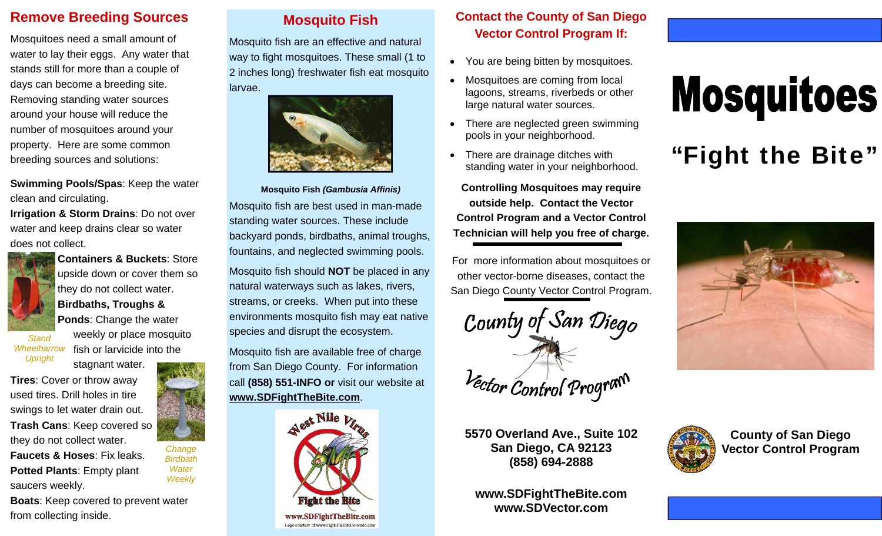#### **Remove Breeding Sources**

Mosquitoes need a small amount of water to lay their eggs. Any water that stands still for more than a couple of days can become a breeding site. Removing standing water sources around your house will reduce the number of mosquitoes around your property. Here are some common breeding sources and solutions:

**Swimming Pools/Spas**: Keep the water clean and circulating. **Irrigation & Storm Drains**: Do not over water and keep drains clear so water does not collect.



**Containers & Buckets**: Store upside down or cover them so they do not collect water. **Birdbaths, Troughs & Ponds**: Change the water weekly or place mosquito

fish or larvicide into the

*Change Birdbath Water Weekly* 

*Stand Wheelbarrow Upright* 

stagnant water. **Tires**: Cover or throw away used tires. Drill holes in tire swings to let water drain out. **Trash Cans**: Keep covered so they do not collect water. **Faucets & Hoses**: Fix leaks.

**Potted Plants**: Empty plant saucers weekly.

**Boats**: Keep covered to prevent water from collecting inside.

### **Mosquito Fish**

Mosquito fish are an effective and natural way to fight mosquitoes. These small (1 to 2 inches long) freshwater fish eat mosquito larvae.



**Mosquito Fish** *(Gambusia Affinis)*  Mosquito fish are best used in man-made standing water sources. These include backyard ponds, birdbaths, animal troughs, fountains, and neglected swimming pools.

Mosquito fish should **NOT** be placed in any natural waterways such as lakes, rivers, streams, or creeks. When put into these environments mosquito fish may eat native species and disrupt the ecosystem.

Mosquito fish are available free of charge from San Diego County. For information call **(858) 551-INFO or** visit our website at **www.SDFightTheBite.com**.



#### **Contact the County of San Diego Vector Control Program If:**

- You are being bitten by mosquitoes.
- $\bullet$  Mosquitoes are coming from local lagoons, streams, riverbeds or other large natural water sources.
- There are neglected green swimming pools in your neighborhood.
- $\bullet$  There are drainage ditches with standing water in your neighborhood.

**Controlling Mosquitoes may require outside help. Contact the Vector Control Program and a Vector Control Technician will help you free of charge.**

For more information about mosquitoes or other vector-borne diseases, contact the San Diego County Vector Control Program.



**5570 Overland Ave., Suite 102 San Diego, CA 92123 (858) 694-2888** 

**www.SDFightTheBite.com www.SDVector.com** 

# **Mosquitoes**

# "Fight the Bite"





**County of San Diego Vector Control Program**